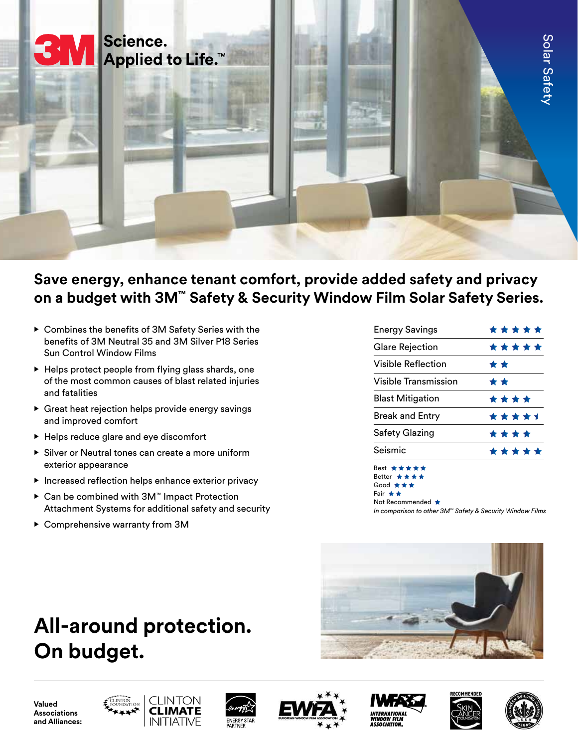

# **Save energy, enhance tenant comfort, provide added safety and privacy on a budget with 3M™ Safety & Security Window Film Solar Safety Series.**

- Combines the benefits of 3M Safety Series with the benefits of 3M Neutral 35 and 3M Silver P18 Series Sun Control Window Films
- Helps protect people from flying glass shards, one of the most common causes of blast related injuries and fatalities
- Great heat rejection helps provide energy savings and improved comfort
- Helps reduce glare and eye discomfort
- Silver or Neutral tones can create a more uniform exterior appearance
- Increased reflection helps enhance exterior privacy
- Can be combined with 3M™ Impact Protection Attachment Systems for additional safety and security
- Comprehensive warranty from 3M

# **All-around protection. On budget.**

| <b>Energy Savings</b>       | * * * * * |
|-----------------------------|-----------|
| <b>Glare Rejection</b>      | *****     |
| Visible Reflection          | * *       |
| <b>Visible Transmission</b> | * *       |
| <b>Blast Mitigation</b>     | ****      |
| <b>Break and Entry</b>      | *****     |
| Safety Glazing              | * * * *   |
| Seismic                     | *****     |
|                             |           |

Best Better \* \* \* \* Good Fair **★ ★** 

Not Recommended  $\bigstar$ 

*In comparison to other 3M™ Safety & Security Window Films*



**Valued Associations and Alliances:**